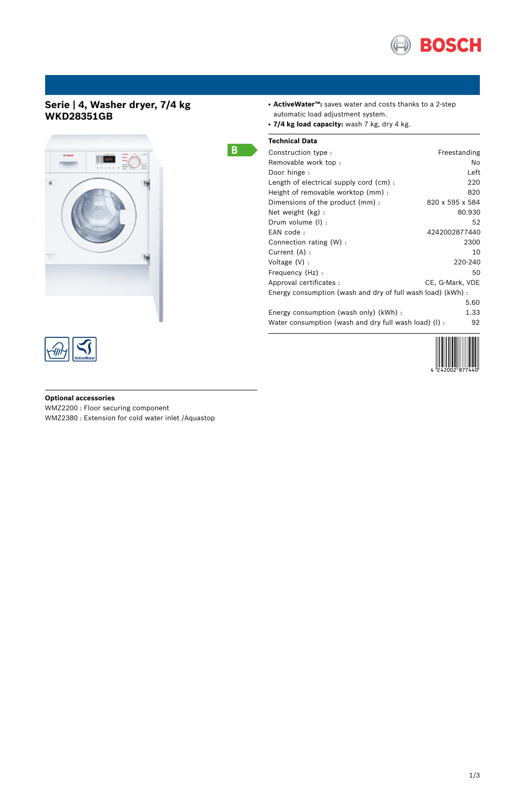

## **Serie | 4, Washer dryer, 7/4 kg WKD28351GB**





# B.

| • ActiveWater <sup>TM</sup> : saves water and costs thanks to a 2-step |  |  |  |  |  |
|------------------------------------------------------------------------|--|--|--|--|--|
| automatic load adjustment system.                                      |  |  |  |  |  |

● **7/4 kg load capacity:** wash 7 kg, dry 4 kg.

## **Technical Data**

| Freestanding                                                |
|-------------------------------------------------------------|
| No.                                                         |
| Left                                                        |
| 220                                                         |
| 820                                                         |
| 820 x 595 x 584                                             |
| 80.930                                                      |
| 52                                                          |
| 4242002877440                                               |
| 2300                                                        |
| 10                                                          |
| 220-240                                                     |
| 50                                                          |
| CE, G-Mark, VDE                                             |
| Energy consumption (wash and dry of full wash load) (kWh) : |
| 5.60                                                        |
| 1.33                                                        |
| Water consumption (wash and dry full wash load) (I) :<br>92 |
|                                                             |



### **Optional accessories**

WMZ2200 : Floor securing component WMZ2380 : Extension for cold water inlet /Aquastop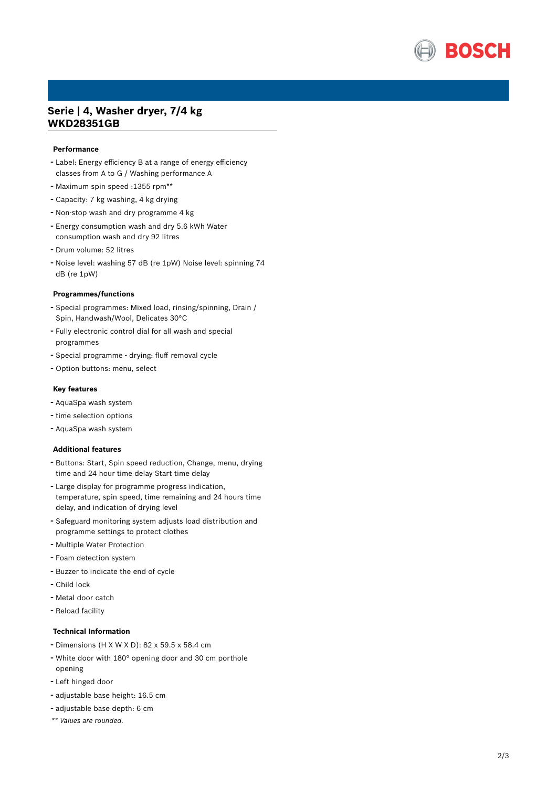

## Serie | 4, Washer dryer, 7/4 kg **WKD28351GB**

#### **Performance**

- Label: Energy efficiency B at a range of energy efficiency classes from A to G / Washing performance A
- Maximum spin speed :1355 rpm\*\*
- Capacity: 7 kg washing, 4 kg drying
- Non-stop wash and dry programme 4 kg
- Energy consumption wash and dry 5.6 kWh Water consumption wash and dry 92 litres
- Drum volume: 52 litres
- Noise level: washing 57 dB (re 1pW) Noise level: spinning 74 dB (re 1pW)

#### **Programmes/functions**

- Special programmes: Mixed load, rinsing/spinning, Drain / Spin, Handwash/Wool, Delicates 30°C
- Fully electronic control dial for all wash and special programmes
- Special programme drying: fluff removal cycle
- Option buttons: menu, select

#### **K e y f e a t u r e s**

- AquaSpa wash system
- time selection options
- AquaSpa wash system

#### **A d d i t i o n a l f e a t u r e s**

- Buttons: Start, Spin speed reduction, Change, menu, drying time and 24 hour time delay Start time delay
- Large display for programme progress indication, temperature, spin speed, time remaining and 24 hours time delay, and indication of drying level
- Safeguard monitoring system adjusts load distribution and programme settings to protect clothes
- Multiple Water Protection
- Foam detection system
- Buzzer to indicate the end of cycle
- Child lock
- Metal door catch
- Reload facility

#### **Technical Information**

- Dimensions (H X W X D): 82 x 59.5 x 58.4 cm
- White door with 180° opening door and 30 cm porthole opening
- Left hinged door
- adjustable base height: 16.5 cm
- adjustable base depth: 6 cm
- \*\* Values are rounded.